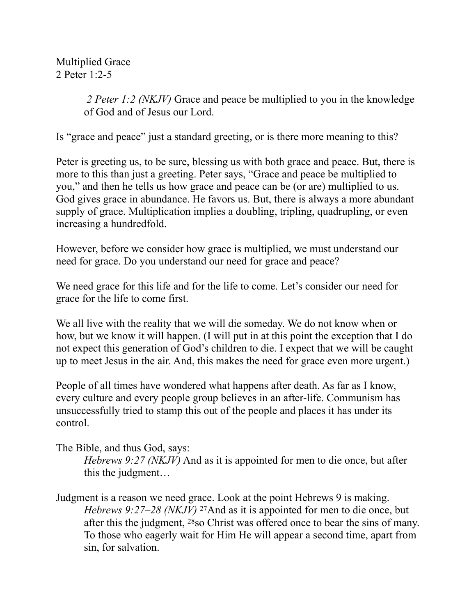Multiplied Grace 2 Peter 1:2-5

> *2 Peter 1:2 (NKJV)* Grace and peace be multiplied to you in the knowledge of God and of Jesus our Lord.

Is "grace and peace" just a standard greeting, or is there more meaning to this?

Peter is greeting us, to be sure, blessing us with both grace and peace. But, there is more to this than just a greeting. Peter says, "Grace and peace be multiplied to you," and then he tells us how grace and peace can be (or are) multiplied to us. God gives grace in abundance. He favors us. But, there is always a more abundant supply of grace. Multiplication implies a doubling, tripling, quadrupling, or even increasing a hundredfold.

However, before we consider how grace is multiplied, we must understand our need for grace. Do you understand our need for grace and peace?

We need grace for this life and for the life to come. Let's consider our need for grace for the life to come first.

We all live with the reality that we will die someday. We do not know when or how, but we know it will happen. (I will put in at this point the exception that I do not expect this generation of God's children to die. I expect that we will be caught up to meet Jesus in the air. And, this makes the need for grace even more urgent.)

People of all times have wondered what happens after death. As far as I know, every culture and every people group believes in an after-life. Communism has unsuccessfully tried to stamp this out of the people and places it has under its control.

The Bible, and thus God, says:

*Hebrews 9:27 (NKJV)* And as it is appointed for men to die once, but after this the judgment…

Judgment is a reason we need grace. Look at the point Hebrews 9 is making. *Hebrews 9:27–28 (NKJV)* <sup>27</sup>And as it is appointed for men to die once, but after this the judgment, 28so Christ was offered once to bear the sins of many. To those who eagerly wait for Him He will appear a second time, apart from sin, for salvation.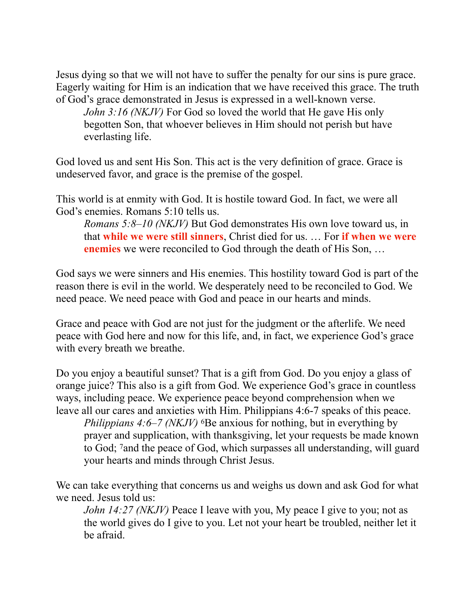Jesus dying so that we will not have to suffer the penalty for our sins is pure grace. Eagerly waiting for Him is an indication that we have received this grace. The truth of God's grace demonstrated in Jesus is expressed in a well-known verse.

*John 3:16 (NKJV)* For God so loved the world that He gave His only begotten Son, that whoever believes in Him should not perish but have everlasting life.

God loved us and sent His Son. This act is the very definition of grace. Grace is undeserved favor, and grace is the premise of the gospel.

This world is at enmity with God. It is hostile toward God. In fact, we were all God's enemies. Romans 5:10 tells us.

*Romans 5:8–10 (NKJV)* But God demonstrates His own love toward us, in that **while we were still sinners**, Christ died for us. … For **if when we were enemies** we were reconciled to God through the death of His Son, …

God says we were sinners and His enemies. This hostility toward God is part of the reason there is evil in the world. We desperately need to be reconciled to God. We need peace. We need peace with God and peace in our hearts and minds.

Grace and peace with God are not just for the judgment or the afterlife. We need peace with God here and now for this life, and, in fact, we experience God's grace with every breath we breathe.

Do you enjoy a beautiful sunset? That is a gift from God. Do you enjoy a glass of orange juice? This also is a gift from God. We experience God's grace in countless ways, including peace. We experience peace beyond comprehension when we leave all our cares and anxieties with Him. Philippians 4:6-7 speaks of this peace.

*Philippians 4:6–7 (NKJV)* <sup>6</sup>Be anxious for nothing, but in everything by prayer and supplication, with thanksgiving, let your requests be made known to God; 7and the peace of God, which surpasses all understanding, will guard your hearts and minds through Christ Jesus.

We can take everything that concerns us and weighs us down and ask God for what we need. Jesus told us:

*John 14:27 (NKJV)* Peace I leave with you, My peace I give to you; not as the world gives do I give to you. Let not your heart be troubled, neither let it be afraid.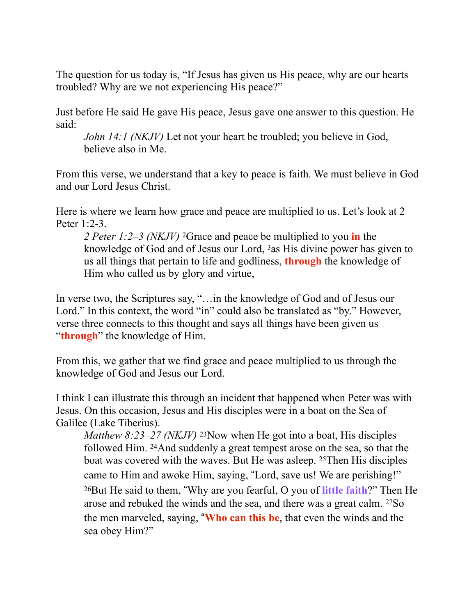The question for us today is, "If Jesus has given us His peace, why are our hearts troubled? Why are we not experiencing His peace?"

Just before He said He gave His peace, Jesus gave one answer to this question. He said:

*John 14:1 (NKJV)* Let not your heart be troubled; you believe in God, believe also in Me.

From this verse, we understand that a key to peace is faith. We must believe in God and our Lord Jesus Christ.

Here is where we learn how grace and peace are multiplied to us. Let's look at 2 Peter 1:2-3.

*2 Peter 1:2–3 (NKJV)* 2Grace and peace be multiplied to you **in** the knowledge of God and of Jesus our Lord, 3as His divine power has given to us all things that pertain to life and godliness, **through** the knowledge of Him who called us by glory and virtue,

In verse two, the Scriptures say, "…in the knowledge of God and of Jesus our Lord." In this context, the word "in" could also be translated as "by." However, verse three connects to this thought and says all things have been given us "**through**" the knowledge of Him.

From this, we gather that we find grace and peace multiplied to us through the knowledge of God and Jesus our Lord.

I think I can illustrate this through an incident that happened when Peter was with Jesus. On this occasion, Jesus and His disciples were in a boat on the Sea of Galilee (Lake Tiberius).

*Matthew 8:23–27 (NKJV)* <sup>23</sup>Now when He got into a boat, His disciples followed Him. 24And suddenly a great tempest arose on the sea, so that the boat was covered with the waves. But He was asleep. 25Then His disciples came to Him and awoke Him, saying, "Lord, save us! We are perishing!" 26But He said to them, !Why are you fearful, O you of **little faith**?" Then He arose and rebuked the winds and the sea, and there was a great calm. 27So the men marveled, saying, !**Who can this be**, that even the winds and the sea obey Him?"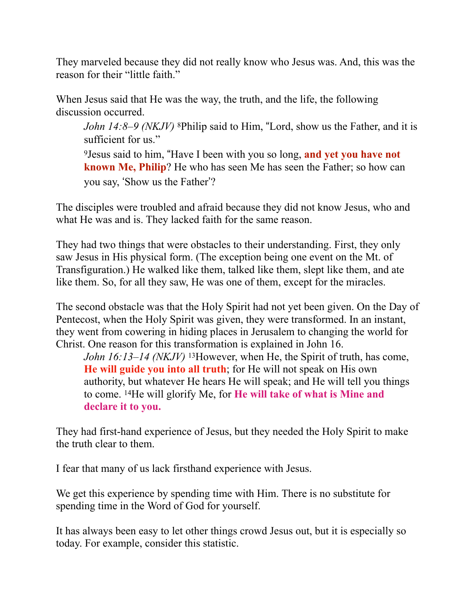They marveled because they did not really know who Jesus was. And, this was the reason for their "little faith."

When Jesus said that He was the way, the truth, and the life, the following discussion occurred.

*John 14:8–9 (NKJV)* 8Philip said to Him, "Lord, show us the Father, and it is sufficient for us."

9Jesus said to him, !Have I been with you so long, **and yet you have not known Me, Philip**? He who has seen Me has seen the Father; so how can you say, 'Show us the Father'?

The disciples were troubled and afraid because they did not know Jesus, who and what He was and is. They lacked faith for the same reason.

They had two things that were obstacles to their understanding. First, they only saw Jesus in His physical form. (The exception being one event on the Mt. of Transfiguration.) He walked like them, talked like them, slept like them, and ate like them. So, for all they saw, He was one of them, except for the miracles.

The second obstacle was that the Holy Spirit had not yet been given. On the Day of Pentecost, when the Holy Spirit was given, they were transformed. In an instant, they went from cowering in hiding places in Jerusalem to changing the world for Christ. One reason for this transformation is explained in John 16.

*John 16:13–14 (NKJV)* 13However, when He, the Spirit of truth, has come, **He will guide you into all truth**; for He will not speak on His own authority, but whatever He hears He will speak; and He will tell you things to come. 14He will glorify Me, for **He will take of what is Mine and declare it to you.**

They had first-hand experience of Jesus, but they needed the Holy Spirit to make the truth clear to them.

I fear that many of us lack firsthand experience with Jesus.

We get this experience by spending time with Him. There is no substitute for spending time in the Word of God for yourself.

It has always been easy to let other things crowd Jesus out, but it is especially so today. For example, consider this statistic.